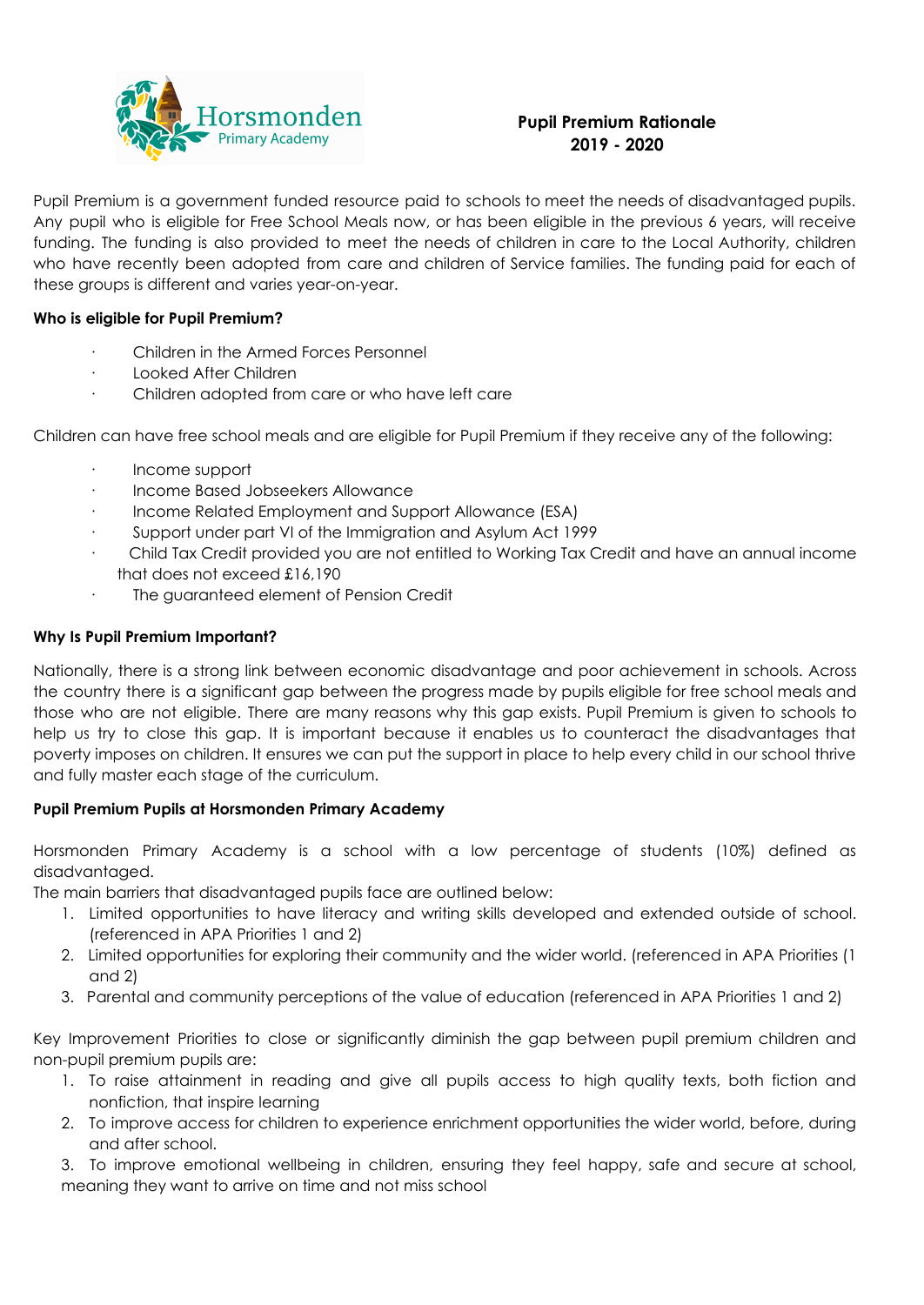

# **Pupil Premium Rationale 2019 - 2020**

Pupil Premium is a government funded resource paid to schools to meet the needs of disadvantaged pupils. Any pupil who is eligible for Free School Meals now, or has been eligible in the previous 6 years, will receive funding. The funding is also provided to meet the needs of children in care to the Local Authority, children who have recently been adopted from care and children of Service families. The funding paid for each of these groups is different and varies year-on-year.

### **Who is eligible for Pupil Premium?**

- · Children in the Armed Forces Personnel
- · Looked After Children
- · Children adopted from care or who have left care

Children can have free school meals and are eligible for Pupil Premium if they receive any of the following:

- · Income support
- · Income Based Jobseekers Allowance
- Income Related Employment and Support Allowance (ESA)
- Support under part VI of the Immigration and Asylum Act 1999
- · Child Tax Credit provided you are not entitled to Working Tax Credit and have an annual income that does not exceed £16,190
- · The guaranteed element of Pension Credit

### **Why Is Pupil Premium Important?**

Nationally, there is a strong link between economic disadvantage and poor achievement in schools. Across the country there is a significant gap between the progress made by pupils eligible for free school meals and those who are not eligible. There are many reasons why this gap exists. Pupil Premium is given to schools to help us try to close this gap. It is important because it enables us to counteract the disadvantages that poverty imposes on children. It ensures we can put the support in place to help every child in our school thrive and fully master each stage of the curriculum.

## **Pupil Premium Pupils at Horsmonden Primary Academy**

Horsmonden Primary Academy is a school with a low percentage of students (10%) defined as disadvantaged.

The main barriers that disadvantaged pupils face are outlined below:

- 1. Limited opportunities to have literacy and writing skills developed and extended outside of school. (referenced in APA Priorities 1 and 2)
- 2. Limited opportunities for exploring their community and the wider world. (referenced in APA Priorities (1 and 2)
- 3. Parental and community perceptions of the value of education (referenced in APA Priorities 1 and 2)

Key Improvement Priorities to close or significantly diminish the gap between pupil premium children and non-pupil premium pupils are:

- 1. To raise attainment in reading and give all pupils access to high quality texts, both fiction and nonfiction, that inspire learning
- 2. To improve access for children to experience enrichment opportunities the wider world, before, during and after school.

3. To improve emotional wellbeing in children, ensuring they feel happy, safe and secure at school, meaning they want to arrive on time and not miss school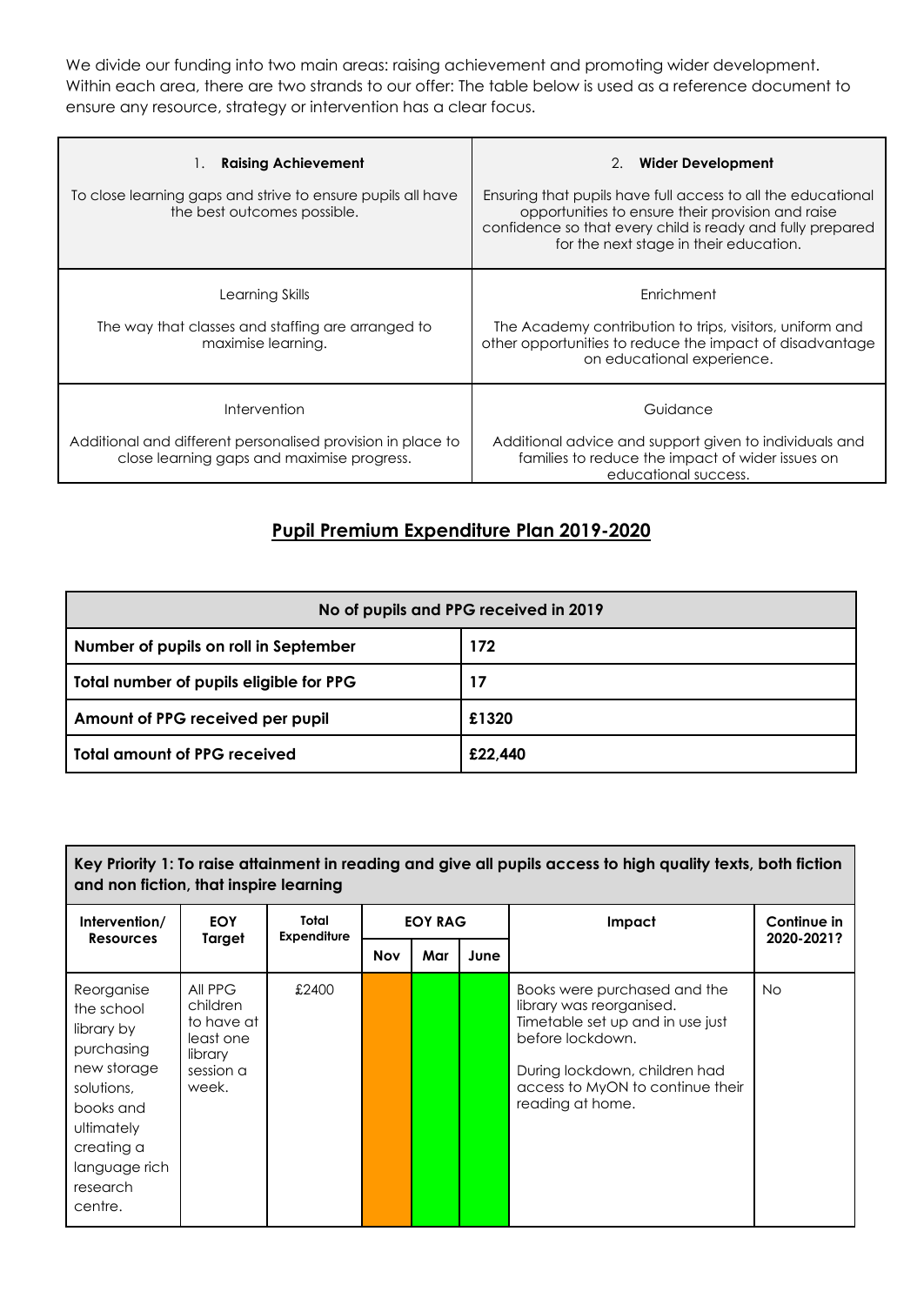We divide our funding into two main areas: raising achievement and promoting wider development. Within each area, there are two strands to our offer: The table below is used as a reference document to ensure any resource, strategy or intervention has a clear focus.

| <b>Raising Achievement</b>                                                                                | <b>Wider Development</b><br>2.                                                                                                                                                                                            |
|-----------------------------------------------------------------------------------------------------------|---------------------------------------------------------------------------------------------------------------------------------------------------------------------------------------------------------------------------|
| To close learning gaps and strive to ensure pupils all have<br>the best outcomes possible.                | Ensuring that pupils have full access to all the educational<br>opportunities to ensure their provision and raise<br>confidence so that every child is ready and fully prepared<br>for the next stage in their education. |
| Learning Skills<br>The way that classes and staffing are arranged to<br>maximise learning.                | Enrichment<br>The Academy contribution to trips, visitors, uniform and<br>other opportunities to reduce the impact of disadvantage<br>on educational experience.                                                          |
| Intervention                                                                                              | Guidance                                                                                                                                                                                                                  |
| Additional and different personalised provision in place to<br>close learning gaps and maximise progress. | Additional advice and support given to individuals and<br>families to reduce the impact of wider issues on<br>educational success.                                                                                        |

# **Pupil Premium Expenditure Plan 2019-2020**

| No of pupils and PPG received in 2019   |         |  |  |  |  |
|-----------------------------------------|---------|--|--|--|--|
| Number of pupils on roll in September   | 172     |  |  |  |  |
| Total number of pupils eligible for PPG | 17      |  |  |  |  |
| Amount of PPG received per pupil        | £1320   |  |  |  |  |
| <b>Total amount of PPG received</b>     | £22,440 |  |  |  |  |

## Key Priority 1: To raise attainment in reading and give all pupils access to high quality texts, both fiction **and non fiction, that inspire learning**

| Intervention/<br><b>Resources</b>                                                                                                                                  | <b>EOY</b><br>Target                                                            | Total<br><b>Expenditure</b> | <b>EOY RAG</b> |     |      | Impact                                                                                                                                                                                                    | Continue in<br>2020-2021? |
|--------------------------------------------------------------------------------------------------------------------------------------------------------------------|---------------------------------------------------------------------------------|-----------------------------|----------------|-----|------|-----------------------------------------------------------------------------------------------------------------------------------------------------------------------------------------------------------|---------------------------|
|                                                                                                                                                                    |                                                                                 |                             | <b>Nov</b>     | Mar | June |                                                                                                                                                                                                           |                           |
| Reorganise<br>the school<br>library by<br>purchasing<br>new storage<br>solutions,<br>books and<br>ultimately<br>creating a<br>language rich<br>research<br>centre. | All PPG<br>children<br>to have at<br>least one<br>library<br>session a<br>week. | £2400                       |                |     |      | Books were purchased and the<br>library was reorganised.<br>Timetable set up and in use just<br>before lockdown.<br>During lockdown, children had<br>access to MyON to continue their<br>reading at home. | <b>No</b>                 |